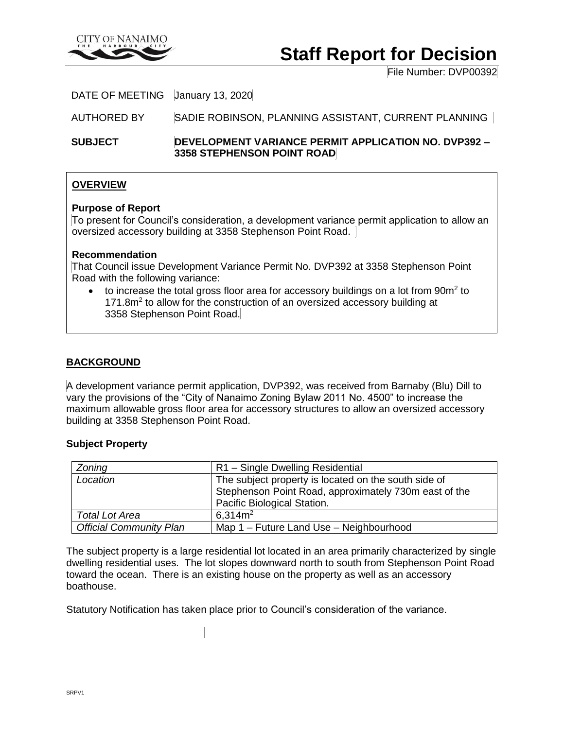

# **Staff Report for Decision**

File Number: DVP00392

# DATE OF MEETING January 13, 2020

AUTHORED BY SADIE ROBINSON, PLANNING ASSISTANT, CURRENT PLANNING

## **SUBJECT DEVELOPMENT VARIANCE PERMIT APPLICATION NO. DVP392 – 3358 STEPHENSON POINT ROAD**

# **OVERVIEW**

### **Purpose of Report**

To present for Council's consideration, a development variance permit application to allow an oversized accessory building at 3358 Stephenson Point Road.

## **Recommendation**

That Council issue Development Variance Permit No. DVP392 at 3358 Stephenson Point Road with the following variance:

 $\bullet$  to increase the total gross floor area for accessory buildings on a lot from 90 $m^2$  to 171.8m<sup>2</sup> to allow for the construction of an oversized accessory building at 3358 Stephenson Point Road.

# **BACKGROUND**

A development variance permit application, DVP392, was received from Barnaby (Blu) Dill to vary the provisions of the "City of Nanaimo Zoning Bylaw 2011 No. 4500" to increase the maximum allowable gross floor area for accessory structures to allow an oversized accessory building at 3358 Stephenson Point Road.

#### **Subject Property**

| Zoning                         | R1 - Single Dwelling Residential                      |
|--------------------------------|-------------------------------------------------------|
| Location                       | The subject property is located on the south side of  |
|                                | Stephenson Point Road, approximately 730m east of the |
|                                | Pacific Biological Station.                           |
| <b>Total Lot Area</b>          | 6.314m <sup>2</sup>                                   |
| <b>Official Community Plan</b> | Map 1 - Future Land Use - Neighbourhood               |

The subject property is a large residential lot located in an area primarily characterized by single dwelling residential uses. The lot slopes downward north to south from Stephenson Point Road toward the ocean. There is an existing house on the property as well as an accessory boathouse.

Statutory Notification has taken place prior to Council's consideration of the variance.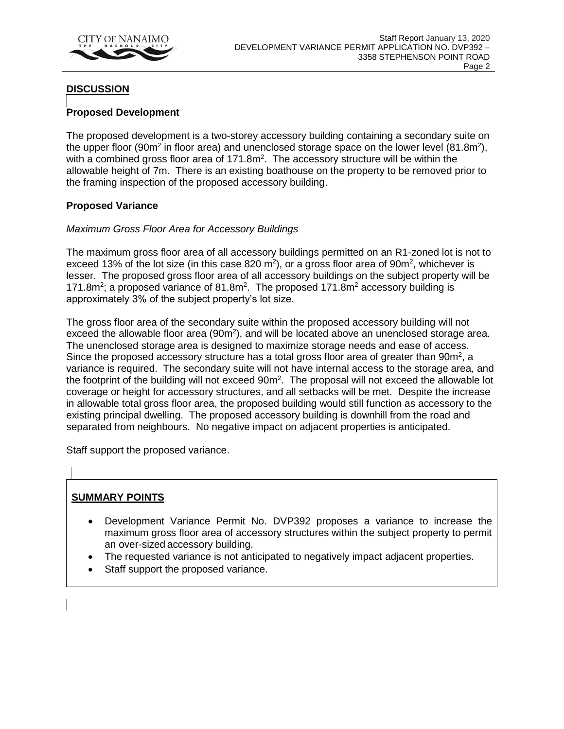

# **DISCUSSION**

# **Proposed Development**

The proposed development is a two-storey accessory building containing a secondary suite on the upper floor (90m<sup>2</sup> in floor area) and unenclosed storage space on the lower level (81.8m<sup>2</sup>), with a combined gross floor area of  $171.8m<sup>2</sup>$ . The accessory structure will be within the allowable height of 7m. There is an existing boathouse on the property to be removed prior to the framing inspection of the proposed accessory building.

## **Proposed Variance**

## *Maximum Gross Floor Area for Accessory Buildings*

The maximum gross floor area of all accessory buildings permitted on an R1-zoned lot is not to exceed 13% of the lot size (in this case 820 m<sup>2</sup>), or a gross floor area of 90m<sup>2</sup>, whichever is lesser. The proposed gross floor area of all accessory buildings on the subject property will be 171.8 $m^2$ ; a proposed variance of 81.8 $m^2$ . The proposed 171.8 $m^2$  accessory building is approximately 3% of the subject property's lot size.

The gross floor area of the secondary suite within the proposed accessory building will not exceed the allowable floor area  $(90m^2)$ , and will be located above an unenclosed storage area. The unenclosed storage area is designed to maximize storage needs and ease of access. Since the proposed accessory structure has a total gross floor area of greater than  $90m^2$ , a variance is required. The secondary suite will not have internal access to the storage area, and the footprint of the building will not exceed 90m<sup>2</sup>. The proposal will not exceed the allowable lot coverage or height for accessory structures, and all setbacks will be met. Despite the increase in allowable total gross floor area, the proposed building would still function as accessory to the existing principal dwelling. The proposed accessory building is downhill from the road and separated from neighbours. No negative impact on adjacent properties is anticipated.

Staff support the proposed variance.

## **SUMMARY POINTS**

- Development Variance Permit No. DVP392 proposes a variance to increase the maximum gross floor area of accessory structures within the subject property to permit an over-sized accessory building.
- The requested variance is not anticipated to negatively impact adjacent properties.
- Staff support the proposed variance.